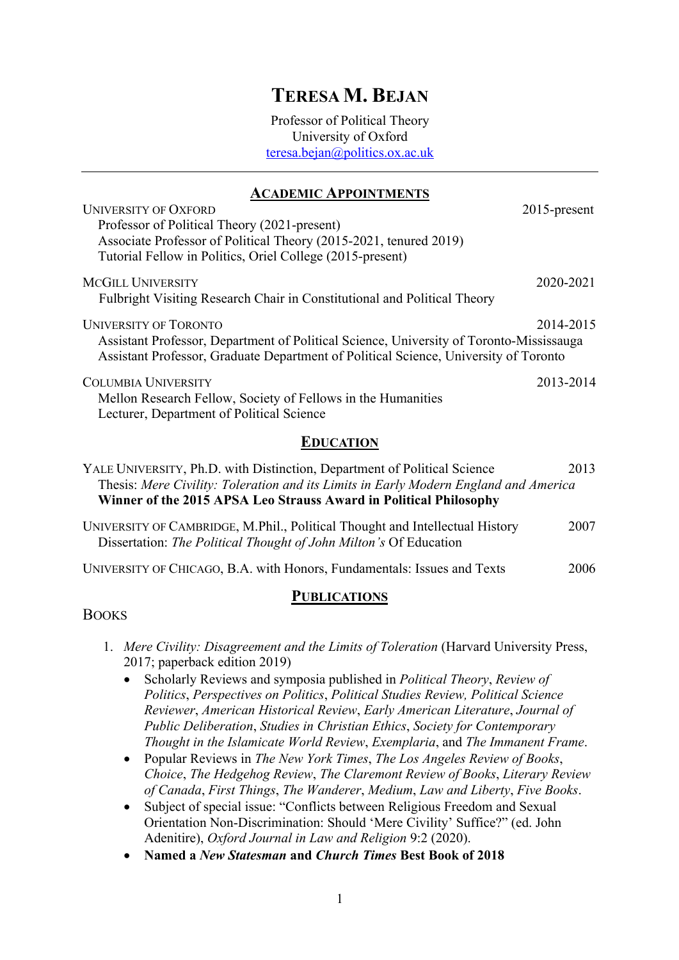# **TERESA M. BEJAN**

Professor of Political Theory University of Oxford teresa.bejan@politics.ox.ac.uk

# **ACADEMIC APPOINTMENTS**

| <b>UNIVERSITY OF OXFORD</b>                                                                                                                                                     | $2015$ -present |  |  |
|---------------------------------------------------------------------------------------------------------------------------------------------------------------------------------|-----------------|--|--|
| Professor of Political Theory (2021-present)                                                                                                                                    |                 |  |  |
| Associate Professor of Political Theory (2015-2021, tenured 2019)                                                                                                               |                 |  |  |
| Tutorial Fellow in Politics, Oriel College (2015-present)                                                                                                                       |                 |  |  |
| <b>MCGILL UNIVERSITY</b>                                                                                                                                                        | 2020-2021       |  |  |
| Fulbright Visiting Research Chair in Constitutional and Political Theory                                                                                                        |                 |  |  |
| <b>UNIVERSITY OF TORONTO</b>                                                                                                                                                    | 2014-2015       |  |  |
| Assistant Professor, Department of Political Science, University of Toronto-Mississauga<br>Assistant Professor, Graduate Department of Political Science, University of Toronto |                 |  |  |
| <b>COLUMBIA UNIVERSITY</b>                                                                                                                                                      | 2013-2014       |  |  |
| Mellon Research Fellow, Society of Fellows in the Humanities                                                                                                                    |                 |  |  |
| Lecturer, Department of Political Science                                                                                                                                       |                 |  |  |
| EDUCATION                                                                                                                                                                       |                 |  |  |

|  |  | YALE UNIVERSITY, Ph.D. with Distinction, Department of Political Science             | 2013                 |
|--|--|--------------------------------------------------------------------------------------|----------------------|
|  |  | Thesis: Mere Civility: Toleration and its Limits in Early Modern England and America |                      |
|  |  | Winner of the 2015 APSA Leo Strauss Award in Political Philosophy                    |                      |
|  |  |                                                                                      | $\sim$ $\sim$ $\sim$ |

| UNIVERSITY OF CAMBRIDGE, M.Phil., Political Thought and Intellectual History | 2007 |
|------------------------------------------------------------------------------|------|
| Dissertation: The Political Thought of John Milton's Of Education            |      |

|  | UNIVERSITY OF CHICAGO, B.A. with Honors, Fundamentals: Issues and Texts | 2006 |
|--|-------------------------------------------------------------------------|------|
|--|-------------------------------------------------------------------------|------|

### **PUBLICATIONS**

### BOOKS

- 1. *Mere Civility: Disagreement and the Limits of Toleration* (Harvard University Press, 2017; paperback edition 2019)
	- Scholarly Reviews and symposia published in *Political Theory*, *Review of Politics*, *Perspectives on Politics*, *Political Studies Review, Political Science Reviewer*, *American Historical Review*, *Early American Literature*, *Journal of Public Deliberation*, *Studies in Christian Ethics*, *Society for Contemporary Thought in the Islamicate World Review*, *Exemplaria*, and *The Immanent Frame*.
	- Popular Reviews in *The New York Times*, *The Los Angeles Review of Books*, *Choice*, *The Hedgehog Review*, *The Claremont Review of Books*, *Literary Review of Canada*, *First Things*, *The Wanderer*, *Medium*, *Law and Liberty*, *Five Books*.
	- Subject of special issue: "Conflicts between Religious Freedom and Sexual Orientation Non-Discrimination: Should 'Mere Civility' Suffice?" (ed. John Adenitire), *Oxford Journal in Law and Religion* 9:2 (2020).
	- **Named a** *New Statesman* **and** *Church Times* **Best Book of 2018**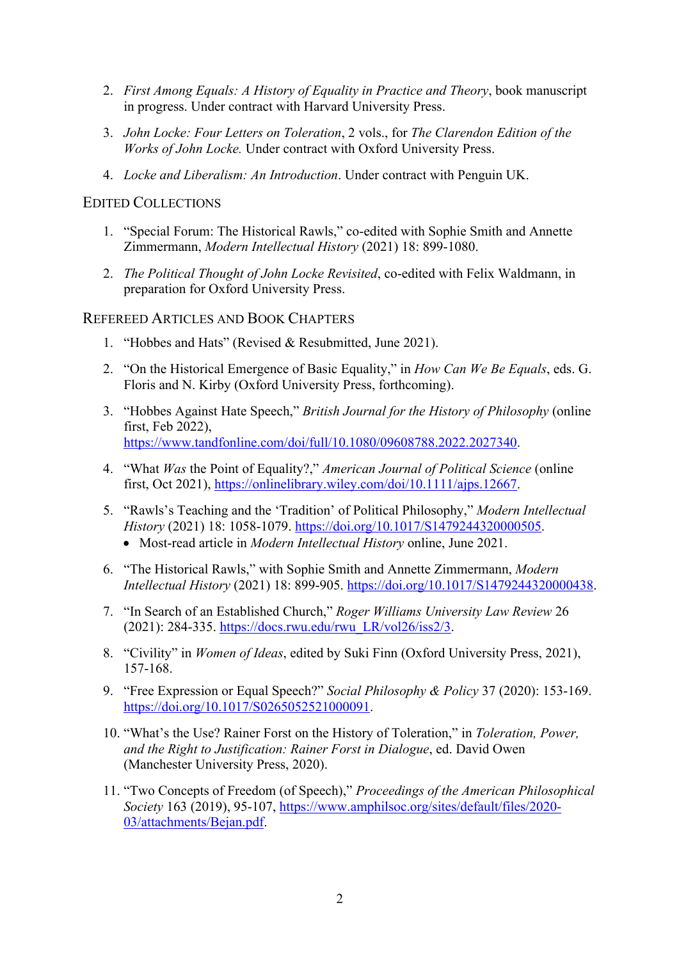- 2. *First Among Equals: A History of Equality in Practice and Theory*, book manuscript in progress. Under contract with Harvard University Press.
- 3. *John Locke: Four Letters on Toleration*, 2 vols., for *The Clarendon Edition of the Works of John Locke.* Under contract with Oxford University Press.
- 4. *Locke and Liberalism: An Introduction*. Under contract with Penguin UK.

### EDITED COLLECTIONS

- 1. "Special Forum: The Historical Rawls," co-edited with Sophie Smith and Annette Zimmermann, *Modern Intellectual History* (2021) 18: 899-1080.
- 2. *The Political Thought of John Locke Revisited*, co-edited with Felix Waldmann, in preparation for Oxford University Press.

### REFEREED ARTICLES AND BOOK CHAPTERS

- 1. "Hobbes and Hats" (Revised & Resubmitted, June 2021).
- 2. "On the Historical Emergence of Basic Equality," in *How Can We Be Equals*, eds. G. Floris and N. Kirby (Oxford University Press, forthcoming).
- 3. "Hobbes Against Hate Speech," *British Journal for the History of Philosophy* (online first, Feb 2022), https://www.tandfonline.com/doi/full/10.1080/09608788.2022.2027340.
- 4. "What *Was* the Point of Equality?," *American Journal of Political Science* (online first, Oct 2021), https://onlinelibrary.wiley.com/doi/10.1111/ajps.12667.
- 5. "Rawls's Teaching and the 'Tradition' of Political Philosophy," *Modern Intellectual History* (2021) 18: 1058-1079. https://doi.org/10.1017/S1479244320000505.
	- Most-read article in *Modern Intellectual History* online, June 2021.
- 6. "The Historical Rawls," with Sophie Smith and Annette Zimmermann, *Modern Intellectual History* (2021) 18: 899-905. https://doi.org/10.1017/S1479244320000438.
- 7. "In Search of an Established Church," *Roger Williams University Law Review* 26 (2021): 284-335. https://docs.rwu.edu/rwu\_LR/vol26/iss2/3.
- 8. "Civility" in *Women of Ideas*, edited by Suki Finn (Oxford University Press, 2021), 157-168.
- 9. "Free Expression or Equal Speech?" *Social Philosophy & Policy* 37 (2020): 153-169. https://doi.org/10.1017/S0265052521000091.
- 10. "What's the Use? Rainer Forst on the History of Toleration," in *Toleration, Power, and the Right to Justification: Rainer Forst in Dialogue*, ed. David Owen (Manchester University Press, 2020).
- 11. "Two Concepts of Freedom (of Speech)," *Proceedings of the American Philosophical Society* 163 (2019), 95-107, https://www.amphilsoc.org/sites/default/files/2020- 03/attachments/Bejan.pdf.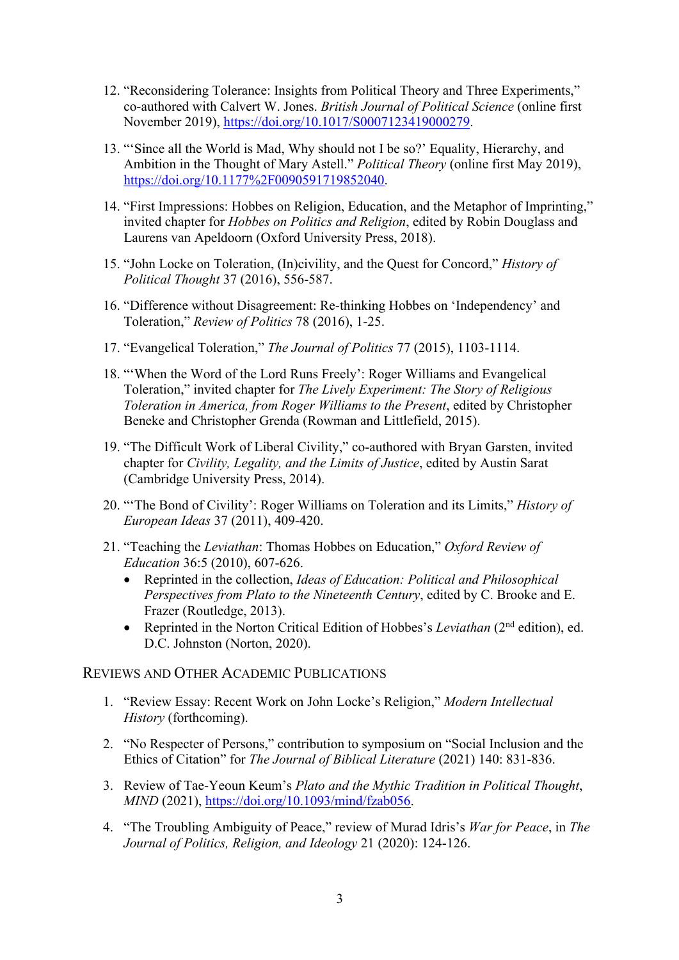- 12. "Reconsidering Tolerance: Insights from Political Theory and Three Experiments," co-authored with Calvert W. Jones. *British Journal of Political Science* (online first November 2019), https://doi.org/10.1017/S0007123419000279.
- 13. "'Since all the World is Mad, Why should not I be so?' Equality, Hierarchy, and Ambition in the Thought of Mary Astell." *Political Theory* (online first May 2019), https://doi.org/10.1177%2F0090591719852040.
- 14. "First Impressions: Hobbes on Religion, Education, and the Metaphor of Imprinting," invited chapter for *Hobbes on Politics and Religion*, edited by Robin Douglass and Laurens van Apeldoorn (Oxford University Press, 2018).
- 15. "John Locke on Toleration, (In)civility, and the Quest for Concord," *History of Political Thought* 37 (2016), 556-587.
- 16. "Difference without Disagreement: Re-thinking Hobbes on 'Independency' and Toleration," *Review of Politics* 78 (2016), 1-25.
- 17. "Evangelical Toleration," *The Journal of Politics* 77 (2015), 1103-1114.
- 18. "'When the Word of the Lord Runs Freely': Roger Williams and Evangelical Toleration," invited chapter for *The Lively Experiment: The Story of Religious Toleration in America, from Roger Williams to the Present*, edited by Christopher Beneke and Christopher Grenda (Rowman and Littlefield, 2015).
- 19. "The Difficult Work of Liberal Civility," co-authored with Bryan Garsten, invited chapter for *Civility, Legality, and the Limits of Justice*, edited by Austin Sarat (Cambridge University Press, 2014).
- 20. "'The Bond of Civility': Roger Williams on Toleration and its Limits," *History of European Ideas* 37 (2011), 409-420.
- 21. "Teaching the *Leviathan*: Thomas Hobbes on Education," *Oxford Review of Education* 36:5 (2010), 607-626.
	- Reprinted in the collection, *Ideas of Education: Political and Philosophical Perspectives from Plato to the Nineteenth Century*, edited by C. Brooke and E. Frazer (Routledge, 2013).
	- Reprinted in the Norton Critical Edition of Hobbes's *Leviathan* (2nd edition), ed. D.C. Johnston (Norton, 2020).

### REVIEWS AND OTHER ACADEMIC PUBLICATIONS

- 1. "Review Essay: Recent Work on John Locke's Religion," *Modern Intellectual History* (forthcoming).
- 2. "No Respecter of Persons," contribution to symposium on "Social Inclusion and the Ethics of Citation" for *The Journal of Biblical Literature* (2021) 140: 831-836.
- 3. Review of Tae-Yeoun Keum's *Plato and the Mythic Tradition in Political Thought*, *MIND* (2021), https://doi.org/10.1093/mind/fzab056.
- 4. "The Troubling Ambiguity of Peace," review of Murad Idris's *War for Peace*, in *The Journal of Politics, Religion, and Ideology* 21 (2020): 124-126.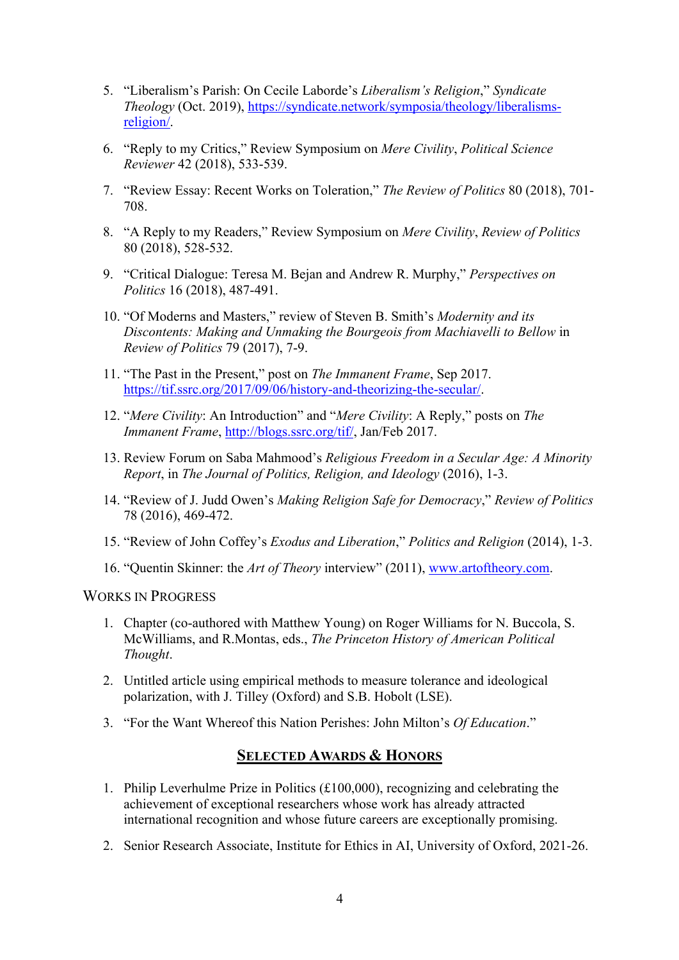- 5. "Liberalism's Parish: On Cecile Laborde's *Liberalism's Religion*," *Syndicate Theology* (Oct. 2019), https://syndicate.network/symposia/theology/liberalismsreligion/.
- 6. "Reply to my Critics," Review Symposium on *Mere Civility*, *Political Science Reviewer* 42 (2018), 533-539.
- 7. "Review Essay: Recent Works on Toleration," *The Review of Politics* 80 (2018), 701- 708.
- 8. "A Reply to my Readers," Review Symposium on *Mere Civility*, *Review of Politics* 80 (2018), 528-532.
- 9. "Critical Dialogue: Teresa M. Bejan and Andrew R. Murphy," *Perspectives on Politics* 16 (2018), 487-491.
- 10. "Of Moderns and Masters," review of Steven B. Smith's *Modernity and its Discontents: Making and Unmaking the Bourgeois from Machiavelli to Bellow* in *Review of Politics* 79 (2017), 7-9.
- 11. "The Past in the Present," post on *The Immanent Frame*, Sep 2017. https://tif.ssrc.org/2017/09/06/history-and-theorizing-the-secular/.
- 12. "*Mere Civility*: An Introduction" and "*Mere Civility*: A Reply," posts on *The Immanent Frame*, http://blogs.ssrc.org/tif/, Jan/Feb 2017.
- 13. Review Forum on Saba Mahmood's *Religious Freedom in a Secular Age: A Minority Report*, in *The Journal of Politics, Religion, and Ideology* (2016), 1-3.
- 14. "Review of J. Judd Owen's *Making Religion Safe for Democracy*," *Review of Politics* 78 (2016), 469-472.
- 15. "Review of John Coffey's *Exodus and Liberation*," *Politics and Religion* (2014), 1-3.
- 16. "Quentin Skinner: the *Art of Theory* interview" (2011), www.artoftheory.com.

WORKS IN PROGRESS

- 1. Chapter (co-authored with Matthew Young) on Roger Williams for N. Buccola, S. McWilliams, and R.Montas, eds., *The Princeton History of American Political Thought*.
- 2. Untitled article using empirical methods to measure tolerance and ideological polarization, with J. Tilley (Oxford) and S.B. Hobolt (LSE).
- 3. "For the Want Whereof this Nation Perishes: John Milton's *Of Education*."

### **SELECTED AWARDS & HONORS**

- 1. Philip Leverhulme Prize in Politics  $(\text{\pounds}100,000)$ , recognizing and celebrating the achievement of exceptional researchers whose work has already attracted international recognition and whose future careers are exceptionally promising.
- 2. Senior Research Associate, Institute for Ethics in AI, University of Oxford, 2021-26.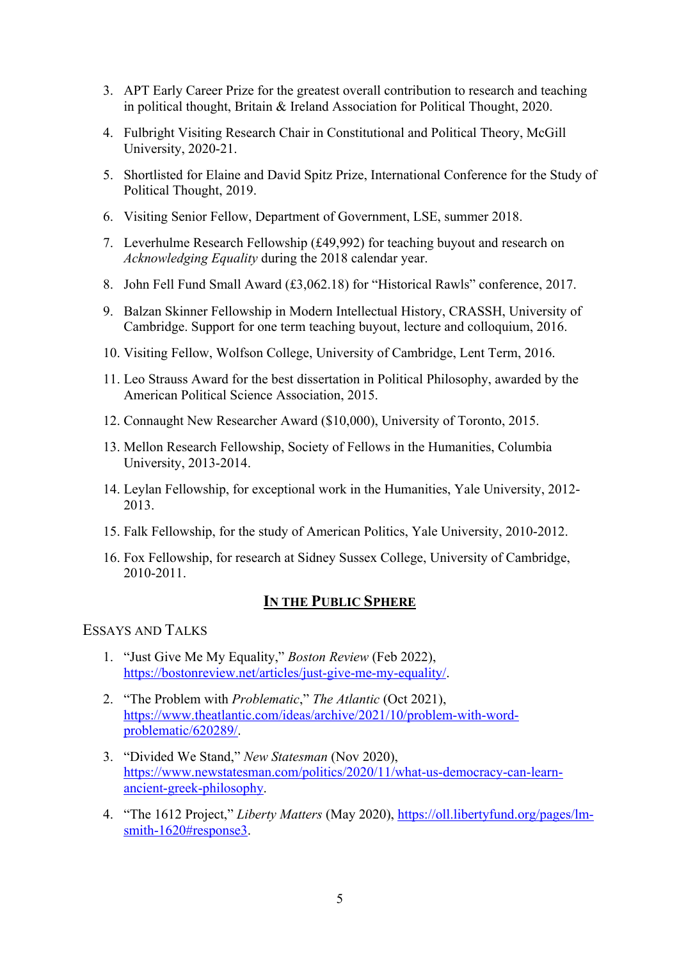- 3. APT Early Career Prize for the greatest overall contribution to research and teaching in political thought, Britain & Ireland Association for Political Thought, 2020.
- 4. Fulbright Visiting Research Chair in Constitutional and Political Theory, McGill University, 2020-21.
- 5. Shortlisted for Elaine and David Spitz Prize, International Conference for the Study of Political Thought, 2019.
- 6. Visiting Senior Fellow, Department of Government, LSE, summer 2018.
- 7. Leverhulme Research Fellowship (£49,992) for teaching buyout and research on *Acknowledging Equality* during the 2018 calendar year.
- 8. John Fell Fund Small Award (£3,062.18) for "Historical Rawls" conference, 2017.
- 9. Balzan Skinner Fellowship in Modern Intellectual History, CRASSH, University of Cambridge. Support for one term teaching buyout, lecture and colloquium, 2016.
- 10. Visiting Fellow, Wolfson College, University of Cambridge, Lent Term, 2016.
- 11. Leo Strauss Award for the best dissertation in Political Philosophy, awarded by the American Political Science Association, 2015.
- 12. Connaught New Researcher Award (\$10,000), University of Toronto, 2015.
- 13. Mellon Research Fellowship, Society of Fellows in the Humanities, Columbia University, 2013-2014.
- 14. Leylan Fellowship, for exceptional work in the Humanities, Yale University, 2012- 2013.
- 15. Falk Fellowship, for the study of American Politics, Yale University, 2010-2012.
- 16. Fox Fellowship, for research at Sidney Sussex College, University of Cambridge, 2010-2011.

# **IN THE PUBLIC SPHERE**

# ESSAYS AND TALKS

- 1. "Just Give Me My Equality," *Boston Review* (Feb 2022), https://bostonreview.net/articles/just-give-me-my-equality/.
- 2. "The Problem with *Problematic*," *The Atlantic* (Oct 2021), https://www.theatlantic.com/ideas/archive/2021/10/problem-with-wordproblematic/620289/.
- 3. "Divided We Stand," *New Statesman* (Nov 2020), https://www.newstatesman.com/politics/2020/11/what-us-democracy-can-learnancient-greek-philosophy.
- 4. "The 1612 Project," *Liberty Matters* (May 2020), https://oll.libertyfund.org/pages/lmsmith-1620#response3.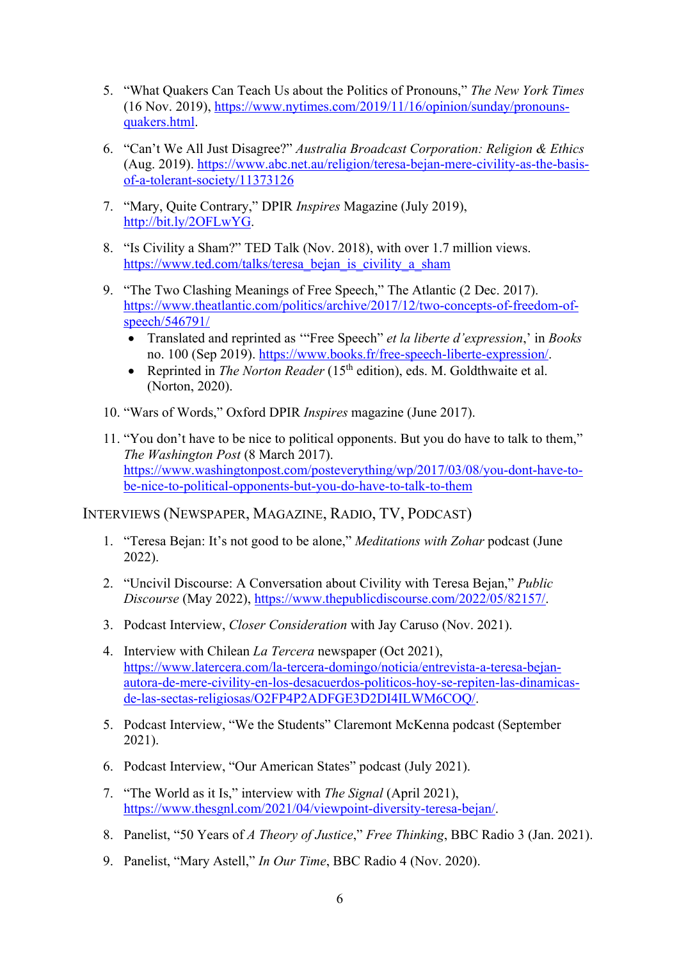- 5. "What Quakers Can Teach Us about the Politics of Pronouns," *The New York Times* (16 Nov. 2019), https://www.nytimes.com/2019/11/16/opinion/sunday/pronounsquakers.html.
- 6. "Can't We All Just Disagree?" *Australia Broadcast Corporation: Religion & Ethics* (Aug. 2019). https://www.abc.net.au/religion/teresa-bejan-mere-civility-as-the-basisof-a-tolerant-society/11373126
- 7. "Mary, Quite Contrary," DPIR *Inspires* Magazine (July 2019), http://bit.ly/2OFLwYG.
- 8. "Is Civility a Sham?" TED Talk (Nov. 2018), with over 1.7 million views. https://www.ted.com/talks/teresa\_bejan\_is\_civility\_a\_sham
- 9. "The Two Clashing Meanings of Free Speech," The Atlantic (2 Dec. 2017). https://www.theatlantic.com/politics/archive/2017/12/two-concepts-of-freedom-ofspeech/546791/
	- Translated and reprinted as '"Free Speech" *et la liberte d'expression*,' in *Books*  no. 100 (Sep 2019). https://www.books.fr/free-speech-liberte-expression/.
	- Reprinted in *The Norton Reader* (15<sup>th</sup> edition), eds. M. Goldthwaite et al. (Norton, 2020).
- 10. "Wars of Words," Oxford DPIR *Inspires* magazine (June 2017).
- 11. "You don't have to be nice to political opponents. But you do have to talk to them," *The Washington Post* (8 March 2017). https://www.washingtonpost.com/posteverything/wp/2017/03/08/you-dont-have-tobe-nice-to-political-opponents-but-you-do-have-to-talk-to-them

### INTERVIEWS (NEWSPAPER, MAGAZINE, RADIO, TV, PODCAST)

- 1. "Teresa Bejan: It's not good to be alone," *Meditations with Zohar* podcast (June 2022).
- 2. "Uncivil Discourse: A Conversation about Civility with Teresa Bejan," *Public Discourse* (May 2022), https://www.thepublicdiscourse.com/2022/05/82157/.
- 3. Podcast Interview, *Closer Consideration* with Jay Caruso (Nov. 2021).
- 4. Interview with Chilean *La Tercera* newspaper (Oct 2021), https://www.latercera.com/la-tercera-domingo/noticia/entrevista-a-teresa-bejanautora-de-mere-civility-en-los-desacuerdos-politicos-hoy-se-repiten-las-dinamicasde-las-sectas-religiosas/O2FP4P2ADFGE3D2DI4ILWM6COQ/.
- 5. Podcast Interview, "We the Students" Claremont McKenna podcast (September 2021).
- 6. Podcast Interview, "Our American States" podcast (July 2021).
- 7. "The World as it Is," interview with *The Signal* (April 2021), https://www.thesgnl.com/2021/04/viewpoint-diversity-teresa-bejan/.
- 8. Panelist, "50 Years of *A Theory of Justice*," *Free Thinking*, BBC Radio 3 (Jan. 2021).
- 9. Panelist, "Mary Astell," *In Our Time*, BBC Radio 4 (Nov. 2020).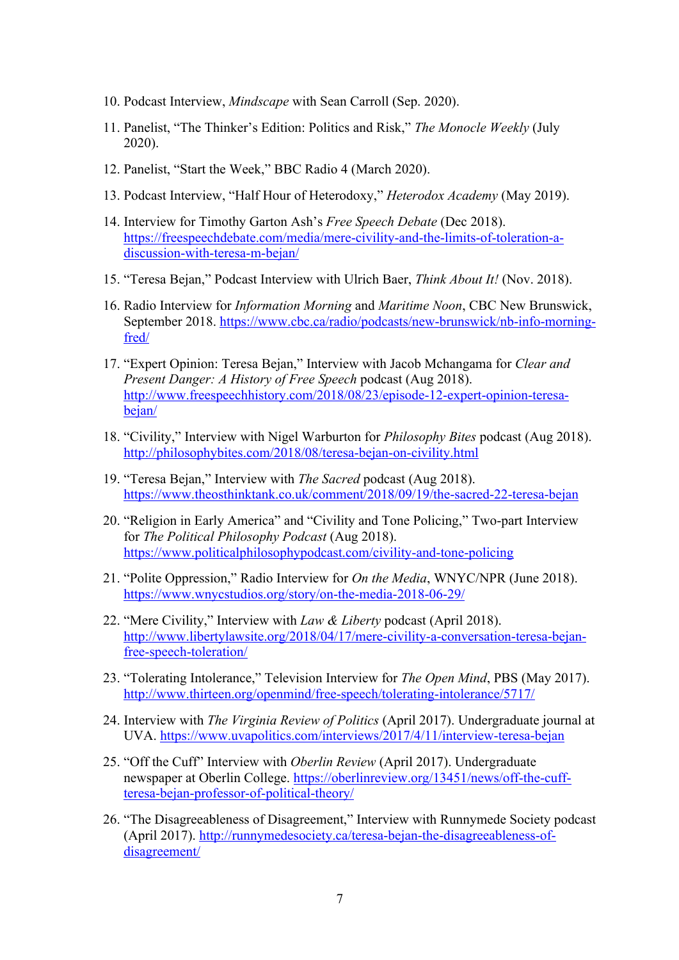- 10. Podcast Interview, *Mindscape* with Sean Carroll (Sep. 2020).
- 11. Panelist, "The Thinker's Edition: Politics and Risk," *The Monocle Weekly* (July 2020).
- 12. Panelist, "Start the Week," BBC Radio 4 (March 2020).
- 13. Podcast Interview, "Half Hour of Heterodoxy," *Heterodox Academy* (May 2019).
- 14. Interview for Timothy Garton Ash's *Free Speech Debate* (Dec 2018). https://freespeechdebate.com/media/mere-civility-and-the-limits-of-toleration-adiscussion-with-teresa-m-bejan/
- 15. "Teresa Bejan," Podcast Interview with Ulrich Baer, *Think About It!* (Nov. 2018).
- 16. Radio Interview for *Information Morning* and *Maritime Noon*, CBC New Brunswick, September 2018. https://www.cbc.ca/radio/podcasts/new-brunswick/nb-info-morningfred/
- 17. "Expert Opinion: Teresa Bejan," Interview with Jacob Mchangama for *Clear and Present Danger: A History of Free Speech* podcast (Aug 2018). http://www.freespeechhistory.com/2018/08/23/episode-12-expert-opinion-teresabejan/
- 18. "Civility," Interview with Nigel Warburton for *Philosophy Bites* podcast (Aug 2018). http://philosophybites.com/2018/08/teresa-bejan-on-civility.html
- 19. "Teresa Bejan," Interview with *The Sacred* podcast (Aug 2018). https://www.theosthinktank.co.uk/comment/2018/09/19/the-sacred-22-teresa-bejan
- 20. "Religion in Early America" and "Civility and Tone Policing," Two-part Interview for *The Political Philosophy Podcast* (Aug 2018). https://www.politicalphilosophypodcast.com/civility-and-tone-policing
- 21. "Polite Oppression," Radio Interview for *On the Media*, WNYC/NPR (June 2018). https://www.wnycstudios.org/story/on-the-media-2018-06-29/
- 22. "Mere Civility," Interview with *Law & Liberty* podcast (April 2018). http://www.libertylawsite.org/2018/04/17/mere-civility-a-conversation-teresa-bejanfree-speech-toleration/
- 23. "Tolerating Intolerance," Television Interview for *The Open Mind*, PBS (May 2017). http://www.thirteen.org/openmind/free-speech/tolerating-intolerance/5717/
- 24. Interview with *The Virginia Review of Politics* (April 2017). Undergraduate journal at UVA. https://www.uvapolitics.com/interviews/2017/4/11/interview-teresa-bejan
- 25. "Off the Cuff" Interview with *Oberlin Review* (April 2017). Undergraduate newspaper at Oberlin College. https://oberlinreview.org/13451/news/off-the-cuffteresa-bejan-professor-of-political-theory/
- 26. "The Disagreeableness of Disagreement," Interview with Runnymede Society podcast (April 2017). http://runnymedesociety.ca/teresa-bejan-the-disagreeableness-ofdisagreement/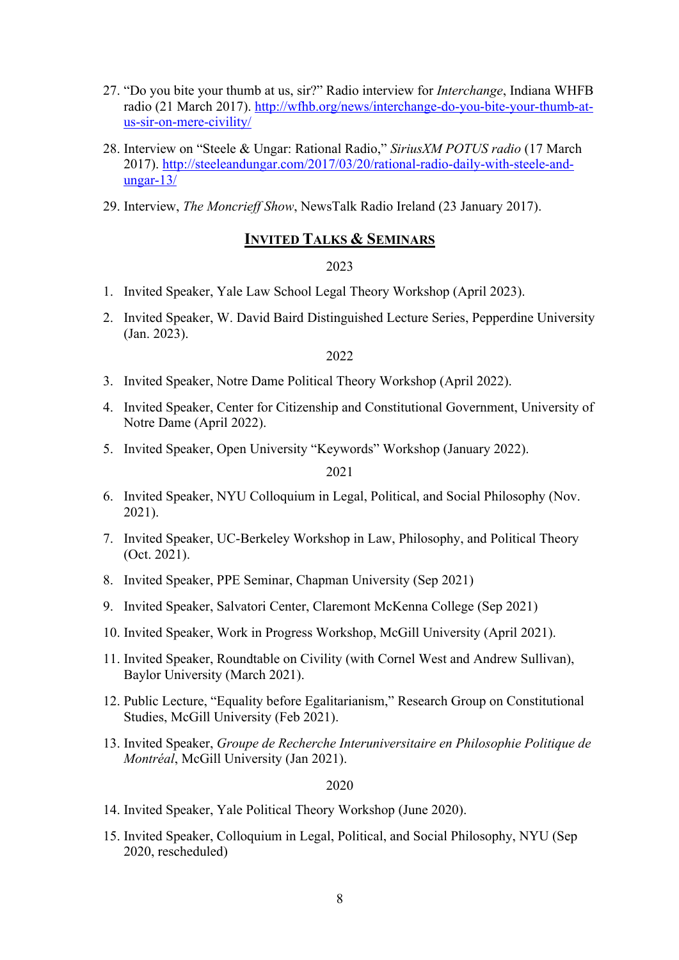- 27. "Do you bite your thumb at us, sir?" Radio interview for *Interchange*, Indiana WHFB radio (21 March 2017). http://wfhb.org/news/interchange-do-you-bite-your-thumb-atus-sir-on-mere-civility/
- 28. Interview on "Steele & Ungar: Rational Radio," *SiriusXM POTUS radio* (17 March 2017). http://steeleandungar.com/2017/03/20/rational-radio-daily-with-steele-andungar-13/
- 29. Interview, *The Moncrieff Show*, NewsTalk Radio Ireland (23 January 2017).

### **INVITED TALKS & SEMINARS**

### 2023

- 1. Invited Speaker, Yale Law School Legal Theory Workshop (April 2023).
- 2. Invited Speaker, W. David Baird Distinguished Lecture Series, Pepperdine University (Jan. 2023).

### 2022

- 3. Invited Speaker, Notre Dame Political Theory Workshop (April 2022).
- 4. Invited Speaker, Center for Citizenship and Constitutional Government, University of Notre Dame (April 2022).
- 5. Invited Speaker, Open University "Keywords" Workshop (January 2022).

#### 2021

- 6. Invited Speaker, NYU Colloquium in Legal, Political, and Social Philosophy (Nov. 2021).
- 7. Invited Speaker, UC-Berkeley Workshop in Law, Philosophy, and Political Theory (Oct. 2021).
- 8. Invited Speaker, PPE Seminar, Chapman University (Sep 2021)
- 9. Invited Speaker, Salvatori Center, Claremont McKenna College (Sep 2021)
- 10. Invited Speaker, Work in Progress Workshop, McGill University (April 2021).
- 11. Invited Speaker, Roundtable on Civility (with Cornel West and Andrew Sullivan), Baylor University (March 2021).
- 12. Public Lecture, "Equality before Egalitarianism," Research Group on Constitutional Studies, McGill University (Feb 2021).
- 13. Invited Speaker, *Groupe de Recherche Interuniversitaire en Philosophie Politique de Montréal*, McGill University (Jan 2021).

- 14. Invited Speaker, Yale Political Theory Workshop (June 2020).
- 15. Invited Speaker, Colloquium in Legal, Political, and Social Philosophy, NYU (Sep 2020, rescheduled)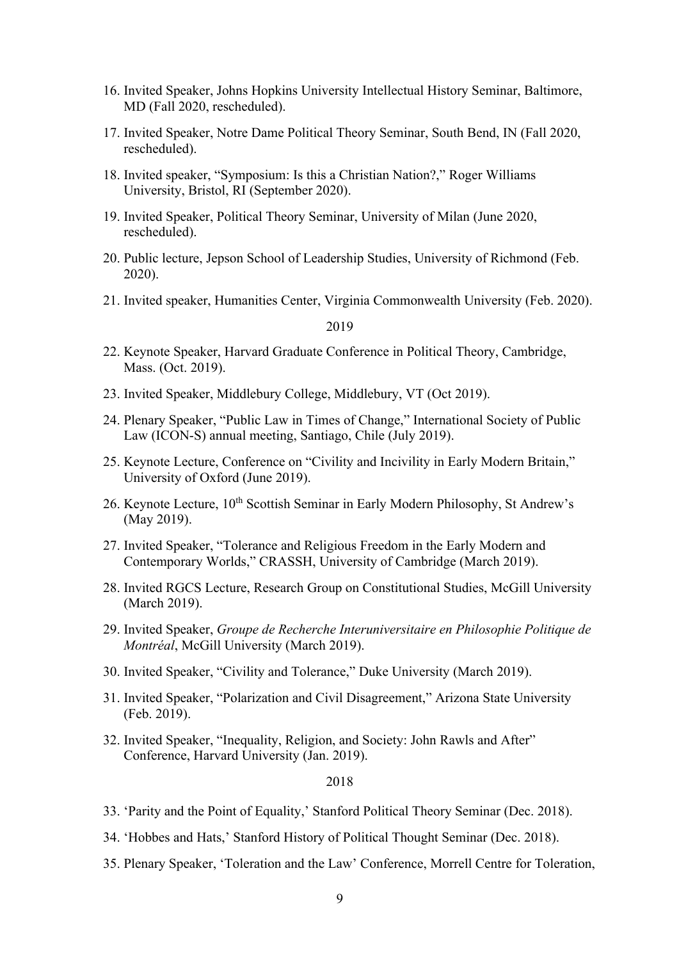- 16. Invited Speaker, Johns Hopkins University Intellectual History Seminar, Baltimore, MD (Fall 2020, rescheduled).
- 17. Invited Speaker, Notre Dame Political Theory Seminar, South Bend, IN (Fall 2020, rescheduled).
- 18. Invited speaker, "Symposium: Is this a Christian Nation?," Roger Williams University, Bristol, RI (September 2020).
- 19. Invited Speaker, Political Theory Seminar, University of Milan (June 2020, rescheduled).
- 20. Public lecture, Jepson School of Leadership Studies, University of Richmond (Feb. 2020).
- 21. Invited speaker, Humanities Center, Virginia Commonwealth University (Feb. 2020).

2019

- 22. Keynote Speaker, Harvard Graduate Conference in Political Theory, Cambridge, Mass. (Oct. 2019).
- 23. Invited Speaker, Middlebury College, Middlebury, VT (Oct 2019).
- 24. Plenary Speaker, "Public Law in Times of Change," International Society of Public Law (ICON-S) annual meeting, Santiago, Chile (July 2019).
- 25. Keynote Lecture, Conference on "Civility and Incivility in Early Modern Britain," University of Oxford (June 2019).
- 26. Keynote Lecture, 10<sup>th</sup> Scottish Seminar in Early Modern Philosophy, St Andrew's (May 2019).
- 27. Invited Speaker, "Tolerance and Religious Freedom in the Early Modern and Contemporary Worlds," CRASSH, University of Cambridge (March 2019).
- 28. Invited RGCS Lecture, Research Group on Constitutional Studies, McGill University (March 2019).
- 29. Invited Speaker, *Groupe de Recherche Interuniversitaire en Philosophie Politique de Montréal*, McGill University (March 2019).
- 30. Invited Speaker, "Civility and Tolerance," Duke University (March 2019).
- 31. Invited Speaker, "Polarization and Civil Disagreement," Arizona State University (Feb. 2019).
- 32. Invited Speaker, "Inequality, Religion, and Society: John Rawls and After" Conference, Harvard University (Jan. 2019).

- 33. 'Parity and the Point of Equality,' Stanford Political Theory Seminar (Dec. 2018).
- 34. 'Hobbes and Hats,' Stanford History of Political Thought Seminar (Dec. 2018).
- 35. Plenary Speaker, 'Toleration and the Law' Conference, Morrell Centre for Toleration,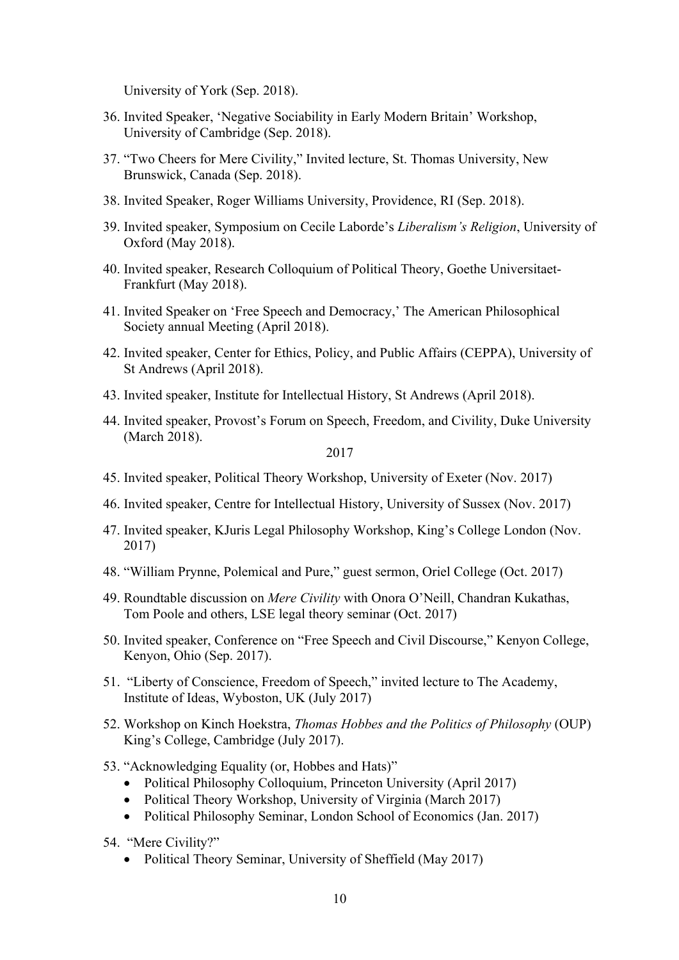University of York (Sep. 2018).

- 36. Invited Speaker, 'Negative Sociability in Early Modern Britain' Workshop, University of Cambridge (Sep. 2018).
- 37. "Two Cheers for Mere Civility," Invited lecture, St. Thomas University, New Brunswick, Canada (Sep. 2018).
- 38. Invited Speaker, Roger Williams University, Providence, RI (Sep. 2018).
- 39. Invited speaker, Symposium on Cecile Laborde's *Liberalism's Religion*, University of Oxford (May 2018).
- 40. Invited speaker, Research Colloquium of Political Theory, Goethe Universitaet-Frankfurt (May 2018).
- 41. Invited Speaker on 'Free Speech and Democracy,' The American Philosophical Society annual Meeting (April 2018).
- 42. Invited speaker, Center for Ethics, Policy, and Public Affairs (CEPPA), University of St Andrews (April 2018).
- 43. Invited speaker, Institute for Intellectual History, St Andrews (April 2018).
- 44. Invited speaker, Provost's Forum on Speech, Freedom, and Civility, Duke University (March 2018).

- 45. Invited speaker, Political Theory Workshop, University of Exeter (Nov. 2017)
- 46. Invited speaker, Centre for Intellectual History, University of Sussex (Nov. 2017)
- 47. Invited speaker, KJuris Legal Philosophy Workshop, King's College London (Nov. 2017)
- 48. "William Prynne, Polemical and Pure," guest sermon, Oriel College (Oct. 2017)
- 49. Roundtable discussion on *Mere Civility* with Onora O'Neill, Chandran Kukathas, Tom Poole and others, LSE legal theory seminar (Oct. 2017)
- 50. Invited speaker, Conference on "Free Speech and Civil Discourse," Kenyon College, Kenyon, Ohio (Sep. 2017).
- 51. "Liberty of Conscience, Freedom of Speech," invited lecture to The Academy, Institute of Ideas, Wyboston, UK (July 2017)
- 52. Workshop on Kinch Hoekstra, *Thomas Hobbes and the Politics of Philosophy* (OUP) King's College, Cambridge (July 2017).
- 53. "Acknowledging Equality (or, Hobbes and Hats)"
	- Political Philosophy Colloquium, Princeton University (April 2017)
	- Political Theory Workshop, University of Virginia (March 2017)
	- Political Philosophy Seminar, London School of Economics (Jan. 2017)
- 54. "Mere Civility?"
	- Political Theory Seminar, University of Sheffield (May 2017)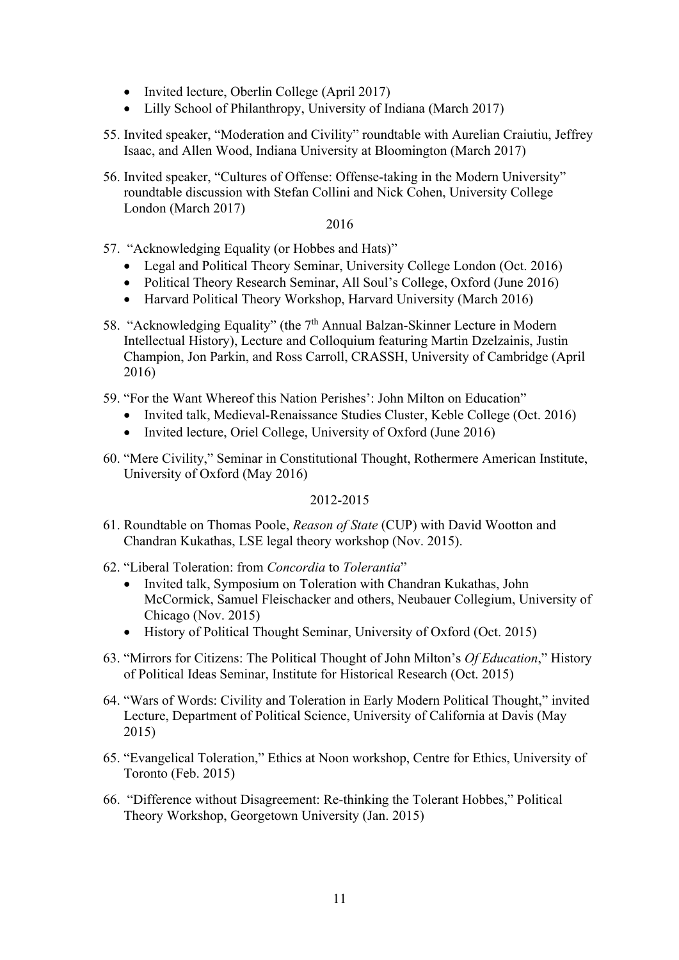- Invited lecture, Oberlin College (April 2017)
- Lilly School of Philanthropy, University of Indiana (March 2017)
- 55. Invited speaker, "Moderation and Civility" roundtable with Aurelian Craiutiu, Jeffrey Isaac, and Allen Wood, Indiana University at Bloomington (March 2017)
- 56. Invited speaker, "Cultures of Offense: Offense-taking in the Modern University" roundtable discussion with Stefan Collini and Nick Cohen, University College London (March 2017)

2016

- 57. "Acknowledging Equality (or Hobbes and Hats)"
	- Legal and Political Theory Seminar, University College London (Oct. 2016)
	- Political Theory Research Seminar, All Soul's College, Oxford (June 2016)
	- Harvard Political Theory Workshop, Harvard University (March 2016)
- 58. "Acknowledging Equality" (the 7<sup>th</sup> Annual Balzan-Skinner Lecture in Modern Intellectual History), Lecture and Colloquium featuring Martin Dzelzainis, Justin Champion, Jon Parkin, and Ross Carroll, CRASSH, University of Cambridge (April 2016)
- 59. "For the Want Whereof this Nation Perishes': John Milton on Education"
	- Invited talk, Medieval-Renaissance Studies Cluster, Keble College (Oct. 2016)
	- Invited lecture, Oriel College, University of Oxford (June 2016)
- 60. "Mere Civility," Seminar in Constitutional Thought, Rothermere American Institute, University of Oxford (May 2016)

2012-2015

- 61. Roundtable on Thomas Poole, *Reason of State* (CUP) with David Wootton and Chandran Kukathas, LSE legal theory workshop (Nov. 2015).
- 62. "Liberal Toleration: from *Concordia* to *Tolerantia*"
	- Invited talk, Symposium on Toleration with Chandran Kukathas, John McCormick, Samuel Fleischacker and others, Neubauer Collegium, University of Chicago (Nov. 2015)
	- History of Political Thought Seminar, University of Oxford (Oct. 2015)
- 63. "Mirrors for Citizens: The Political Thought of John Milton's *Of Education*," History of Political Ideas Seminar, Institute for Historical Research (Oct. 2015)
- 64. "Wars of Words: Civility and Toleration in Early Modern Political Thought," invited Lecture, Department of Political Science, University of California at Davis (May 2015)
- 65. "Evangelical Toleration," Ethics at Noon workshop, Centre for Ethics, University of Toronto (Feb. 2015)
- 66. "Difference without Disagreement: Re-thinking the Tolerant Hobbes," Political Theory Workshop, Georgetown University (Jan. 2015)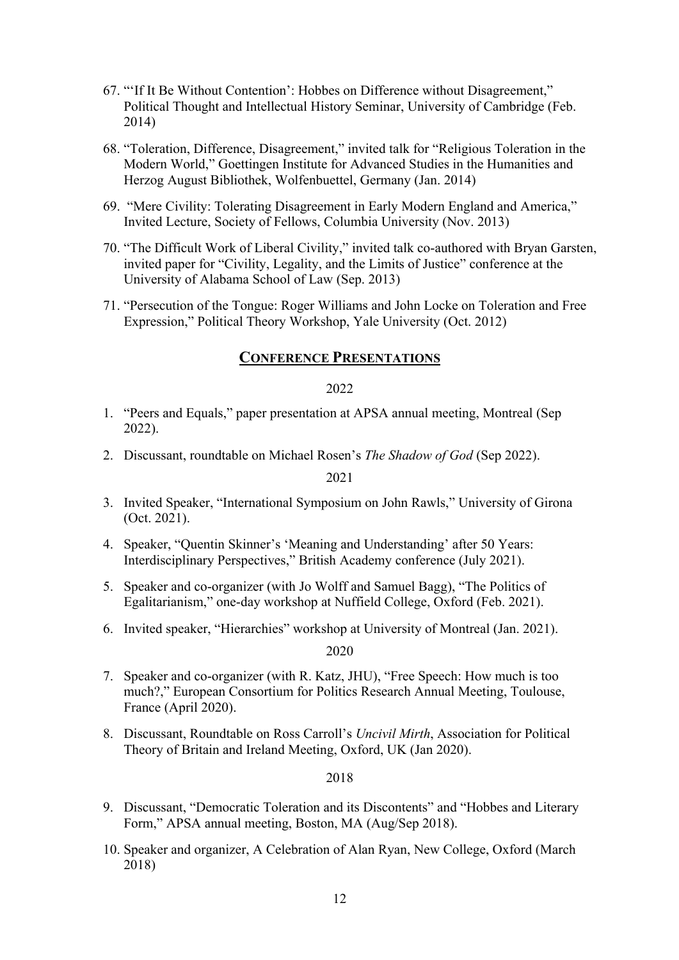- 67. "'If It Be Without Contention': Hobbes on Difference without Disagreement," Political Thought and Intellectual History Seminar, University of Cambridge (Feb. 2014)
- 68. "Toleration, Difference, Disagreement," invited talk for "Religious Toleration in the Modern World," Goettingen Institute for Advanced Studies in the Humanities and Herzog August Bibliothek, Wolfenbuettel, Germany (Jan. 2014)
- 69. "Mere Civility: Tolerating Disagreement in Early Modern England and America," Invited Lecture, Society of Fellows, Columbia University (Nov. 2013)
- 70. "The Difficult Work of Liberal Civility," invited talk co-authored with Bryan Garsten, invited paper for "Civility, Legality, and the Limits of Justice" conference at the University of Alabama School of Law (Sep. 2013)
- 71. "Persecution of the Tongue: Roger Williams and John Locke on Toleration and Free Expression," Political Theory Workshop, Yale University (Oct. 2012)

# **CONFERENCE PRESENTATIONS**

### 2022

- 1. "Peers and Equals," paper presentation at APSA annual meeting, Montreal (Sep 2022).
- 2. Discussant, roundtable on Michael Rosen's *The Shadow of God* (Sep 2022).

2021

- 3. Invited Speaker, "International Symposium on John Rawls," University of Girona (Oct. 2021).
- 4. Speaker, "Quentin Skinner's 'Meaning and Understanding' after 50 Years: Interdisciplinary Perspectives," British Academy conference (July 2021).
- 5. Speaker and co-organizer (with Jo Wolff and Samuel Bagg), "The Politics of Egalitarianism," one-day workshop at Nuffield College, Oxford (Feb. 2021).
- 6. Invited speaker, "Hierarchies" workshop at University of Montreal (Jan. 2021).

2020

- 7. Speaker and co-organizer (with R. Katz, JHU), "Free Speech: How much is too much?," European Consortium for Politics Research Annual Meeting, Toulouse, France (April 2020).
- 8. Discussant, Roundtable on Ross Carroll's *Uncivil Mirth*, Association for Political Theory of Britain and Ireland Meeting, Oxford, UK (Jan 2020).

- 9. Discussant, "Democratic Toleration and its Discontents" and "Hobbes and Literary Form," APSA annual meeting, Boston, MA (Aug/Sep 2018).
- 10. Speaker and organizer, A Celebration of Alan Ryan, New College, Oxford (March 2018)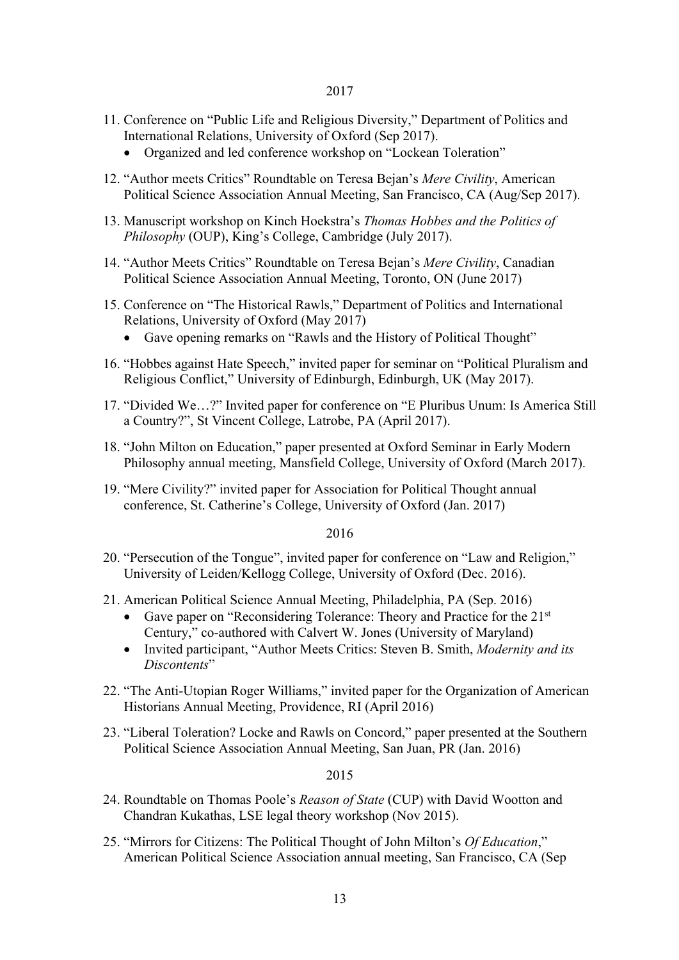- 11. Conference on "Public Life and Religious Diversity," Department of Politics and International Relations, University of Oxford (Sep 2017).
	- Organized and led conference workshop on "Lockean Toleration"
- 12. "Author meets Critics" Roundtable on Teresa Bejan's *Mere Civility*, American Political Science Association Annual Meeting, San Francisco, CA (Aug/Sep 2017).
- 13. Manuscript workshop on Kinch Hoekstra's *Thomas Hobbes and the Politics of Philosophy* (OUP), King's College, Cambridge (July 2017).
- 14. "Author Meets Critics" Roundtable on Teresa Bejan's *Mere Civility*, Canadian Political Science Association Annual Meeting, Toronto, ON (June 2017)
- 15. Conference on "The Historical Rawls," Department of Politics and International Relations, University of Oxford (May 2017)
	- Gave opening remarks on "Rawls and the History of Political Thought"
- 16. "Hobbes against Hate Speech," invited paper for seminar on "Political Pluralism and Religious Conflict," University of Edinburgh, Edinburgh, UK (May 2017).
- 17. "Divided We…?" Invited paper for conference on "E Pluribus Unum: Is America Still a Country?", St Vincent College, Latrobe, PA (April 2017).
- 18. "John Milton on Education," paper presented at Oxford Seminar in Early Modern Philosophy annual meeting, Mansfield College, University of Oxford (March 2017).
- 19. "Mere Civility?" invited paper for Association for Political Thought annual conference, St. Catherine's College, University of Oxford (Jan. 2017)

### 2016

- 20. "Persecution of the Tongue", invited paper for conference on "Law and Religion," University of Leiden/Kellogg College, University of Oxford (Dec. 2016).
- 21. American Political Science Annual Meeting, Philadelphia, PA (Sep. 2016)
	- Gave paper on "Reconsidering Tolerance: Theory and Practice for the 21<sup>st</sup> Century," co-authored with Calvert W. Jones (University of Maryland)
	- Invited participant, "Author Meets Critics: Steven B. Smith, *Modernity and its Discontents*"
- 22. "The Anti-Utopian Roger Williams," invited paper for the Organization of American Historians Annual Meeting, Providence, RI (April 2016)
- 23. "Liberal Toleration? Locke and Rawls on Concord," paper presented at the Southern Political Science Association Annual Meeting, San Juan, PR (Jan. 2016)

- 24. Roundtable on Thomas Poole's *Reason of State* (CUP) with David Wootton and Chandran Kukathas, LSE legal theory workshop (Nov 2015).
- 25. "Mirrors for Citizens: The Political Thought of John Milton's *Of Education*," American Political Science Association annual meeting, San Francisco, CA (Sep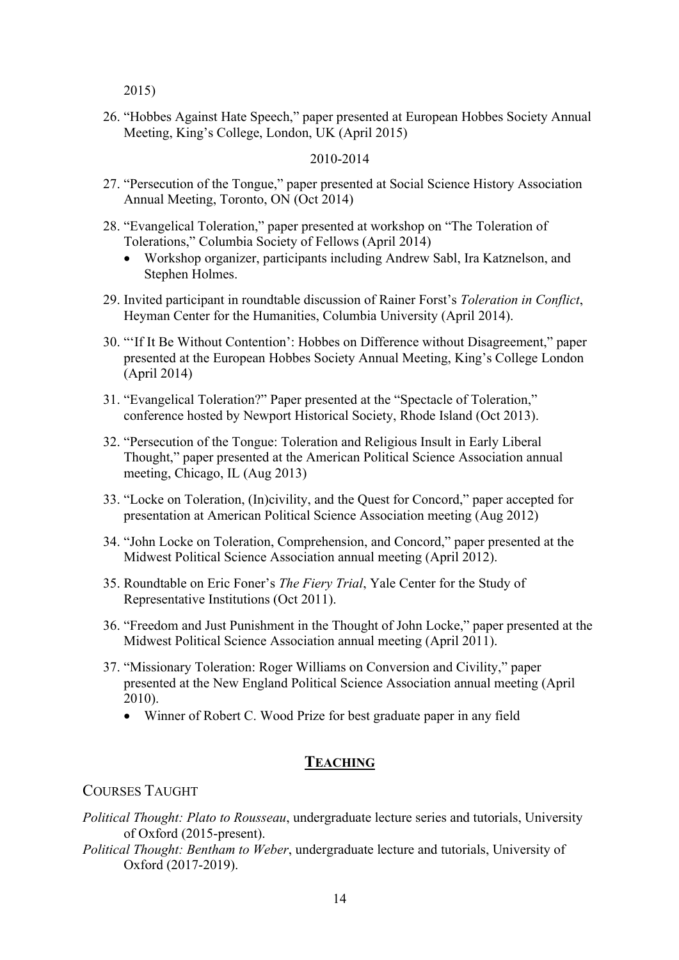2015)

26. "Hobbes Against Hate Speech," paper presented at European Hobbes Society Annual Meeting, King's College, London, UK (April 2015)

### 2010-2014

- 27. "Persecution of the Tongue," paper presented at Social Science History Association Annual Meeting, Toronto, ON (Oct 2014)
- 28. "Evangelical Toleration," paper presented at workshop on "The Toleration of Tolerations," Columbia Society of Fellows (April 2014)
	- Workshop organizer, participants including Andrew Sabl, Ira Katznelson, and Stephen Holmes.
- 29. Invited participant in roundtable discussion of Rainer Forst's *Toleration in Conflict*, Heyman Center for the Humanities, Columbia University (April 2014).
- 30. "'If It Be Without Contention': Hobbes on Difference without Disagreement," paper presented at the European Hobbes Society Annual Meeting, King's College London (April 2014)
- 31. "Evangelical Toleration?" Paper presented at the "Spectacle of Toleration," conference hosted by Newport Historical Society, Rhode Island (Oct 2013).
- 32. "Persecution of the Tongue: Toleration and Religious Insult in Early Liberal Thought," paper presented at the American Political Science Association annual meeting, Chicago, IL (Aug 2013)
- 33. "Locke on Toleration, (In)civility, and the Quest for Concord," paper accepted for presentation at American Political Science Association meeting (Aug 2012)
- 34. "John Locke on Toleration, Comprehension, and Concord," paper presented at the Midwest Political Science Association annual meeting (April 2012).
- 35. Roundtable on Eric Foner's *The Fiery Trial*, Yale Center for the Study of Representative Institutions (Oct 2011).
- 36. "Freedom and Just Punishment in the Thought of John Locke," paper presented at the Midwest Political Science Association annual meeting (April 2011).
- 37. "Missionary Toleration: Roger Williams on Conversion and Civility," paper presented at the New England Political Science Association annual meeting (April 2010).
	- Winner of Robert C. Wood Prize for best graduate paper in any field

# **TEACHING**

### COURSES TAUGHT

- *Political Thought: Plato to Rousseau*, undergraduate lecture series and tutorials, University of Oxford (2015-present).
- *Political Thought: Bentham to Weber*, undergraduate lecture and tutorials, University of Oxford (2017-2019).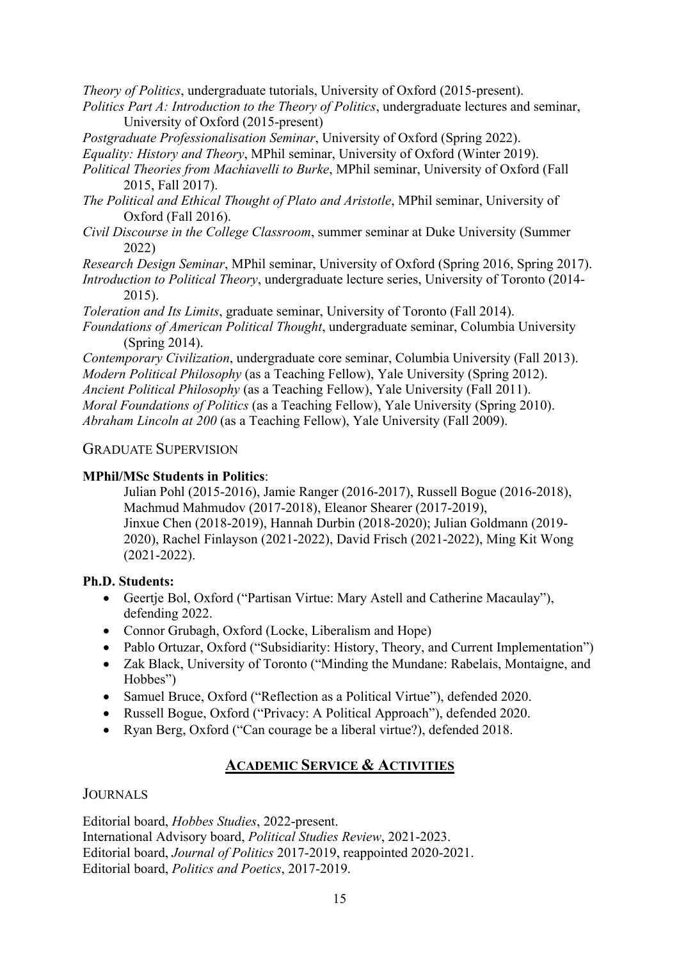*Theory of Politics*, undergraduate tutorials, University of Oxford (2015-present).

*Politics Part A: Introduction to the Theory of Politics*, undergraduate lectures and seminar, University of Oxford (2015-present)

*Postgraduate Professionalisation Seminar*, University of Oxford (Spring 2022).

*Equality: History and Theory*, MPhil seminar, University of Oxford (Winter 2019).

- *Political Theories from Machiavelli to Burke*, MPhil seminar, University of Oxford (Fall 2015, Fall 2017).
- *The Political and Ethical Thought of Plato and Aristotle*, MPhil seminar, University of Oxford (Fall 2016).
- *Civil Discourse in the College Classroom*, summer seminar at Duke University (Summer 2022)

*Research Design Seminar*, MPhil seminar, University of Oxford (Spring 2016, Spring 2017).

*Introduction to Political Theory*, undergraduate lecture series, University of Toronto (2014- 2015).

*Toleration and Its Limits*, graduate seminar, University of Toronto (Fall 2014).

*Foundations of American Political Thought*, undergraduate seminar, Columbia University (Spring 2014).

*Contemporary Civilization*, undergraduate core seminar, Columbia University (Fall 2013). *Modern Political Philosophy* (as a Teaching Fellow), Yale University (Spring 2012). *Ancient Political Philosophy* (as a Teaching Fellow), Yale University (Fall 2011). *Moral Foundations of Politics* (as a Teaching Fellow), Yale University (Spring 2010). *Abraham Lincoln at 200* (as a Teaching Fellow), Yale University (Fall 2009).

# GRADUATE SUPERVISION

# **MPhil/MSc Students in Politics**:

Julian Pohl (2015-2016), Jamie Ranger (2016-2017), Russell Bogue (2016-2018), Machmud Mahmudov (2017-2018), Eleanor Shearer (2017-2019), Jinxue Chen (2018-2019), Hannah Durbin (2018-2020); Julian Goldmann (2019- 2020), Rachel Finlayson (2021-2022), David Frisch (2021-2022), Ming Kit Wong (2021-2022).

### **Ph.D. Students:**

- Geertje Bol, Oxford ("Partisan Virtue: Mary Astell and Catherine Macaulay"), defending 2022.
- Connor Grubagh, Oxford (Locke, Liberalism and Hope)
- Pablo Ortuzar, Oxford ("Subsidiarity: History, Theory, and Current Implementation")
- Zak Black, University of Toronto ("Minding the Mundane: Rabelais, Montaigne, and Hobbes")
- Samuel Bruce, Oxford ("Reflection as a Political Virtue"), defended 2020.
- Russell Bogue, Oxford ("Privacy: A Political Approach"), defended 2020.
- Ryan Berg, Oxford ("Can courage be a liberal virtue?), defended 2018.

# **ACADEMIC SERVICE & ACTIVITIES**

**JOURNALS** 

Editorial board, *Hobbes Studies*, 2022-present. International Advisory board, *Political Studies Review*, 2021-2023. Editorial board, *Journal of Politics* 2017-2019, reappointed 2020-2021. Editorial board, *Politics and Poetics*, 2017-2019.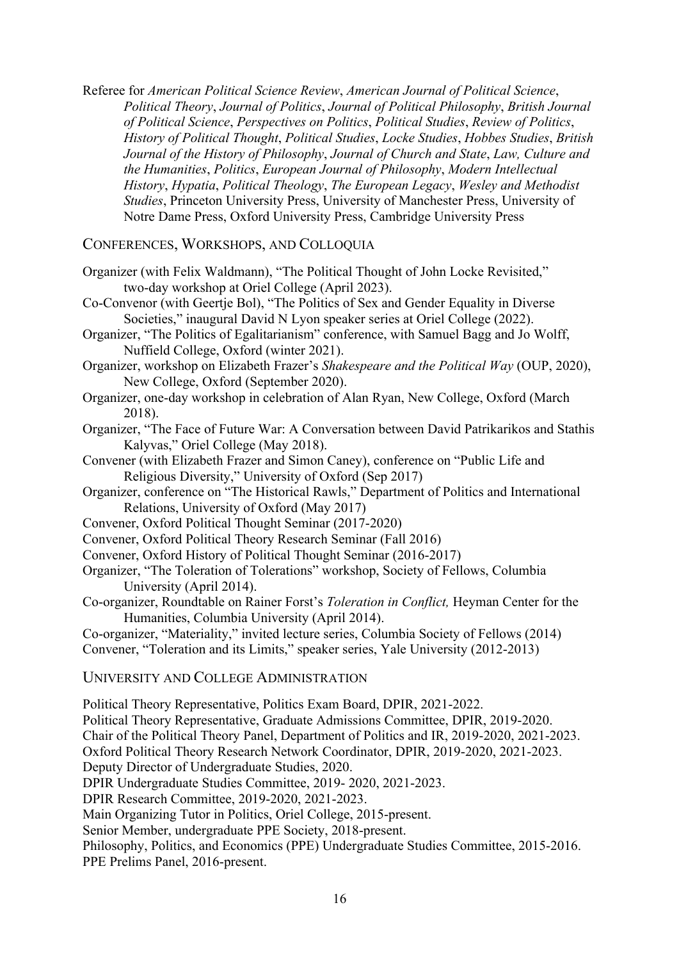Referee for *American Political Science Review*, *American Journal of Political Science*, *Political Theory*, *Journal of Politics*, *Journal of Political Philosophy*, *British Journal of Political Science*, *Perspectives on Politics*, *Political Studies*, *Review of Politics*, *History of Political Thought*, *Political Studies*, *Locke Studies*, *Hobbes Studies*, *British Journal of the History of Philosophy*, *Journal of Church and State*, *Law, Culture and the Humanities*, *Politics*, *European Journal of Philosophy*, *Modern Intellectual History*, *Hypatia*, *Political Theology*, *The European Legacy*, *Wesley and Methodist Studies*, Princeton University Press, University of Manchester Press, University of Notre Dame Press, Oxford University Press, Cambridge University Press

CONFERENCES, WORKSHOPS, AND COLLOQUIA

- Organizer (with Felix Waldmann), "The Political Thought of John Locke Revisited," two-day workshop at Oriel College (April 2023).
- Co-Convenor (with Geertje Bol), "The Politics of Sex and Gender Equality in Diverse Societies," inaugural David N Lyon speaker series at Oriel College (2022).
- Organizer, "The Politics of Egalitarianism" conference, with Samuel Bagg and Jo Wolff, Nuffield College, Oxford (winter 2021).
- Organizer, workshop on Elizabeth Frazer's *Shakespeare and the Political Way* (OUP, 2020), New College, Oxford (September 2020).
- Organizer, one-day workshop in celebration of Alan Ryan, New College, Oxford (March 2018).
- Organizer, "The Face of Future War: A Conversation between David Patrikarikos and Stathis Kalyvas," Oriel College (May 2018).
- Convener (with Elizabeth Frazer and Simon Caney), conference on "Public Life and Religious Diversity," University of Oxford (Sep 2017)
- Organizer, conference on "The Historical Rawls," Department of Politics and International Relations, University of Oxford (May 2017)
- Convener, Oxford Political Thought Seminar (2017-2020)
- Convener, Oxford Political Theory Research Seminar (Fall 2016)
- Convener, Oxford History of Political Thought Seminar (2016-2017)

Political Theory Representative, Politics Exam Board, DPIR, 2021-2022.

- Organizer, "The Toleration of Tolerations" workshop, Society of Fellows, Columbia University (April 2014).
- Co-organizer, Roundtable on Rainer Forst's *Toleration in Conflict,* Heyman Center for the Humanities, Columbia University (April 2014).
- Co-organizer, "Materiality," invited lecture series, Columbia Society of Fellows (2014) Convener, "Toleration and its Limits," speaker series, Yale University (2012-2013)

UNIVERSITY AND COLLEGE ADMINISTRATION

Political Theory Representative, Graduate Admissions Committee, DPIR, 2019-2020. Chair of the Political Theory Panel, Department of Politics and IR, 2019-2020, 2021-2023. Oxford Political Theory Research Network Coordinator, DPIR, 2019-2020, 2021-2023. Deputy Director of Undergraduate Studies, 2020. DPIR Undergraduate Studies Committee, 2019- 2020, 2021-2023. DPIR Research Committee, 2019-2020, 2021-2023. Main Organizing Tutor in Politics, Oriel College, 2015-present. Senior Member, undergraduate PPE Society, 2018-present. Philosophy, Politics, and Economics (PPE) Undergraduate Studies Committee, 2015-2016. PPE Prelims Panel, 2016-present.